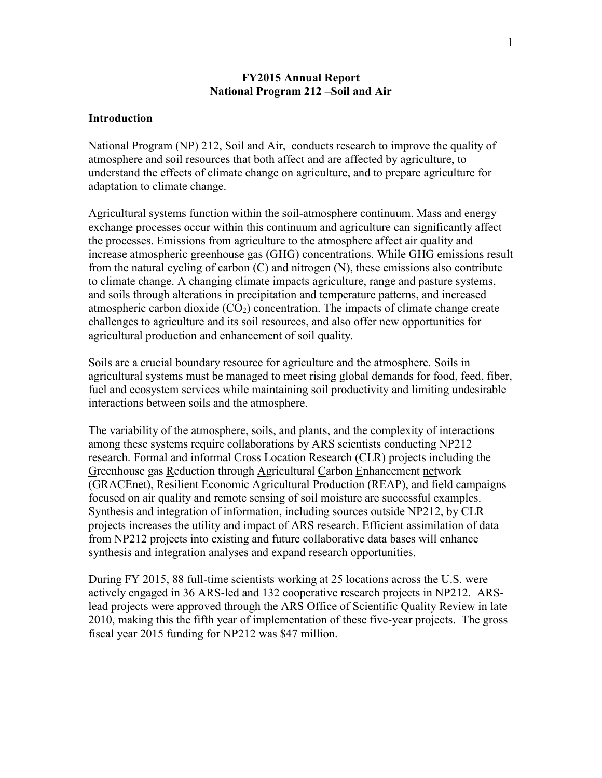## **FY2015 Annual Report National Program 212 –Soil and Air**

## **Introduction**

National Program (NP) 212, Soil and Air, conducts research to improve the quality of atmosphere and soil resources that both affect and are affected by agriculture, to understand the effects of climate change on agriculture, and to prepare agriculture for adaptation to climate change.

Agricultural systems function within the soil-atmosphere continuum. Mass and energy exchange processes occur within this continuum and agriculture can significantly affect the processes. Emissions from agriculture to the atmosphere affect air quality and increase atmospheric greenhouse gas (GHG) concentrations. While GHG emissions result from the natural cycling of carbon (C) and nitrogen (N), these emissions also contribute to climate change. A changing climate impacts agriculture, range and pasture systems, and soils through alterations in precipitation and temperature patterns, and increased atmospheric carbon dioxide  $(CO_2)$  concentration. The impacts of climate change create challenges to agriculture and its soil resources, and also offer new opportunities for agricultural production and enhancement of soil quality.

Soils are a crucial boundary resource for agriculture and the atmosphere. Soils in agricultural systems must be managed to meet rising global demands for food, feed, fiber, fuel and ecosystem services while maintaining soil productivity and limiting undesirable interactions between soils and the atmosphere.

The variability of the atmosphere, soils, and plants, and the complexity of interactions among these systems require collaborations by ARS scientists conducting NP212 research. Formal and informal Cross Location Research (CLR) projects including the Greenhouse gas Reduction through Agricultural Carbon Enhancement network (GRACEnet), Resilient Economic Agricultural Production (REAP), and field campaigns focused on air quality and remote sensing of soil moisture are successful examples. Synthesis and integration of information, including sources outside NP212, by CLR projects increases the utility and impact of ARS research. Efficient assimilation of data from NP212 projects into existing and future collaborative data bases will enhance synthesis and integration analyses and expand research opportunities.

During FY 2015, 88 full-time scientists working at 25 locations across the U.S. were actively engaged in 36 ARS-led and 132 cooperative research projects in NP212. ARSlead projects were approved through the ARS Office of Scientific Quality Review in late 2010, making this the fifth year of implementation of these five-year projects. The gross fiscal year 2015 funding for NP212 was \$47 million.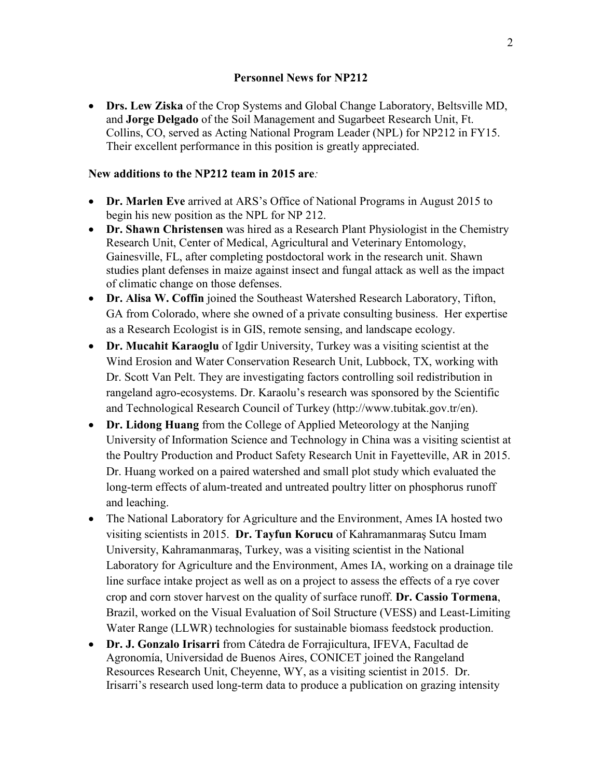• **Drs. Lew Ziska** of the Crop Systems and Global Change Laboratory, Beltsville MD, and **Jorge Delgado** of the Soil Management and Sugarbeet Research Unit, Ft. Collins, CO, served as Acting National Program Leader (NPL) for NP212 in FY15. Their excellent performance in this position is greatly appreciated.

## **New additions to the NP212 team in 2015 are***:*

- **Dr. Marlen Eve** arrived at ARS's Office of National Programs in August 2015 to begin his new position as the NPL for NP 212.
- **Dr. Shawn Christensen** was hired as a Research Plant Physiologist in the Chemistry Research Unit, Center of Medical, Agricultural and Veterinary Entomology, Gainesville, FL, after completing postdoctoral work in the research unit. Shawn studies plant defenses in maize against insect and fungal attack as well as the impact of climatic change on those defenses.
- **Dr. Alisa W. Coffin** joined the Southeast Watershed Research Laboratory, Tifton, GA from Colorado, where she owned of a private consulting business. Her expertise as a Research Ecologist is in GIS, remote sensing, and landscape ecology.
- **Dr. Mucahit Karaoglu** of Igdir University, Turkey was a visiting scientist at the Wind Erosion and Water Conservation Research Unit, Lubbock, TX, working with Dr. Scott Van Pelt. They are investigating factors controlling soil redistribution in rangeland agro-ecosystems. Dr. Karaolu's research was sponsored by the Scientific and Technological Research Council of Turkey (http://www.tubitak.gov.tr/en).
- **Dr. Lidong Huang** from the College of Applied Meteorology at the Nanjing University of Information Science and Technology in China was a visiting scientist at the Poultry Production and Product Safety Research Unit in Fayetteville, AR in 2015. Dr. Huang worked on a paired watershed and small plot study which evaluated the long-term effects of alum-treated and untreated poultry litter on phosphorus runoff and leaching.
- The National Laboratory for Agriculture and the Environment, Ames IA hosted two visiting scientists in 2015. **Dr. Tayfun Korucu** of Kahramanmaraş Sutcu Imam University, Kahramanmaraş, Turkey, was a visiting scientist in the National Laboratory for Agriculture and the Environment, Ames IA, working on a drainage tile line surface intake project as well as on a project to assess the effects of a rye cover crop and corn stover harvest on the quality of surface runoff. **Dr. Cassio Tormena**, Brazil, worked on the Visual Evaluation of Soil Structure (VESS) and Least-Limiting Water Range (LLWR) technologies for sustainable biomass feedstock production.
- **Dr. J. Gonzalo Irisarri** from Cátedra de Forrajicultura, IFEVA, Facultad de Agronomía, Universidad de Buenos Aires, CONICET joined the Rangeland Resources Research Unit, Cheyenne, WY, as a visiting scientist in 2015. Dr. Irisarri's research used long-term data to produce a publication on grazing intensity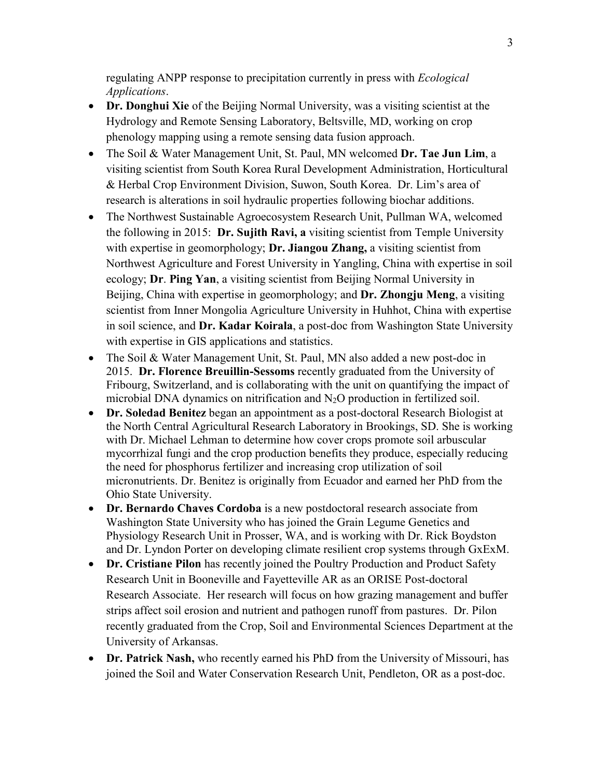regulating ANPP response to precipitation currently in press with *Ecological Applications*.

- **Dr. Donghui Xie** of the Beijing Normal University, was a visiting scientist at the Hydrology and Remote Sensing Laboratory, Beltsville, MD, working on crop phenology mapping using a remote sensing data fusion approach.
- The Soil & Water Management Unit, St. Paul, MN welcomed **Dr. Tae Jun Lim**, a visiting scientist from South Korea Rural Development Administration, Horticultural & Herbal Crop Environment Division, Suwon, South Korea. Dr. Lim's area of research is alterations in soil hydraulic properties following biochar additions.
- The Northwest Sustainable Agroecosystem Research Unit, Pullman WA, welcomed the following in 2015: **Dr. Sujith Ravi, a** visiting scientist from Temple University with expertise in geomorphology; **Dr. Jiangou Zhang,** a visiting scientist from Northwest Agriculture and Forest University in Yangling, China with expertise in soil ecology; **Dr**. **Ping Yan**, a visiting scientist from Beijing Normal University in Beijing, China with expertise in geomorphology; and **Dr. Zhongju Meng**, a visiting scientist from Inner Mongolia Agriculture University in Huhhot, China with expertise in soil science, and **Dr. Kadar Koirala**, a post-doc from Washington State University with expertise in GIS applications and statistics.
- The Soil & Water Management Unit, St. Paul, MN also added a new post-doc in 2015. **Dr. Florence Breuillin-Sessoms** recently graduated from the University of Fribourg, Switzerland, and is collaborating with the unit on quantifying the impact of microbial DNA dynamics on nitrification and N2O production in fertilized soil.
- **Dr. Soledad Benitez** began an appointment as a post-doctoral Research Biologist at the North Central Agricultural Research Laboratory in Brookings, SD. She is working with Dr. Michael Lehman to determine how cover crops promote soil arbuscular mycorrhizal fungi and the crop production benefits they produce, especially reducing the need for phosphorus fertilizer and increasing crop utilization of soil micronutrients. Dr. Benitez is originally from Ecuador and earned her PhD from the Ohio State University.
- **Dr. Bernardo Chaves Cordoba** is a new postdoctoral research associate from Washington State University who has joined the Grain Legume Genetics and Physiology Research Unit in Prosser, WA, and is working with Dr. Rick Boydston and Dr. Lyndon Porter on developing climate resilient crop systems through GxExM.
- **Dr. Cristiane Pilon** has recently joined the Poultry Production and Product Safety Research Unit in Booneville and Fayetteville AR as an ORISE Post-doctoral Research Associate. Her research will focus on how grazing management and buffer strips affect soil erosion and nutrient and pathogen runoff from pastures. Dr. Pilon recently graduated from the Crop, Soil and Environmental Sciences Department at the University of Arkansas.
- **Dr. Patrick Nash,** who recently earned his PhD from the University of Missouri, has joined the Soil and Water Conservation Research Unit, Pendleton, OR as a post-doc.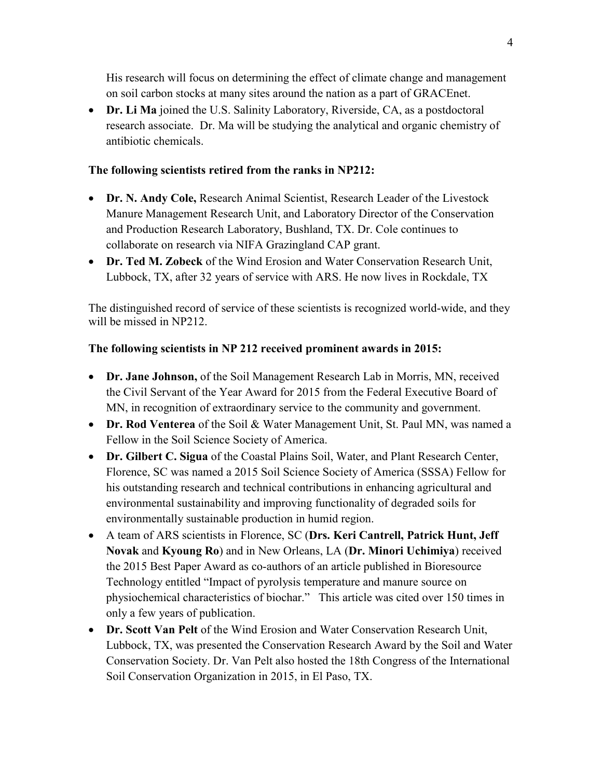His research will focus on determining the effect of climate change and management on soil carbon stocks at many sites around the nation as a part of GRACEnet.

• **Dr. Li Ma** joined the U.S. Salinity Laboratory, Riverside, CA, as a postdoctoral research associate. Dr. Ma will be studying the analytical and organic chemistry of antibiotic chemicals.

# **The following scientists retired from the ranks in NP212:**

- **Dr. N. Andy Cole,** Research Animal Scientist, Research Leader of the Livestock Manure Management Research Unit, and Laboratory Director of the Conservation and Production Research Laboratory, Bushland, TX. Dr. Cole continues to collaborate on research via NIFA Grazingland CAP grant.
- **Dr. Ted M. Zobeck** of the Wind Erosion and Water Conservation Research Unit, Lubbock, TX, after 32 years of service with ARS. He now lives in Rockdale, TX

The distinguished record of service of these scientists is recognized world-wide, and they will be missed in NP212.

# **The following scientists in NP 212 received prominent awards in 2015:**

- **Dr. Jane Johnson,** of the Soil Management Research Lab in Morris, MN, received the Civil Servant of the Year Award for 2015 from the Federal Executive Board of MN, in recognition of extraordinary service to the community and government.
- **Dr. Rod Venterea** of the Soil & Water Management Unit, St. Paul MN, was named a Fellow in the Soil Science Society of America.
- **Dr. Gilbert C. Sigua** of the Coastal Plains Soil, Water, and Plant Research Center, Florence, SC was named a 2015 Soil Science Society of America (SSSA) Fellow for his outstanding research and technical contributions in enhancing agricultural and environmental sustainability and improving functionality of degraded soils for environmentally sustainable production in humid region.
- A team of ARS scientists in Florence, SC (**Drs. Keri Cantrell, Patrick Hunt, Jeff Novak** and **Kyoung Ro**) and in New Orleans, LA (**Dr. Minori Uchimiya**) received the 2015 Best Paper Award as co-authors of an article published in Bioresource Technology entitled "Impact of pyrolysis temperature and manure source on physiochemical characteristics of biochar." This article was cited over 150 times in only a few years of publication.
- **Dr. Scott Van Pelt** of the Wind Erosion and Water Conservation Research Unit, Lubbock, TX, was presented the Conservation Research Award by the Soil and Water Conservation Society. Dr. Van Pelt also hosted the 18th Congress of the International Soil Conservation Organization in 2015, in El Paso, TX.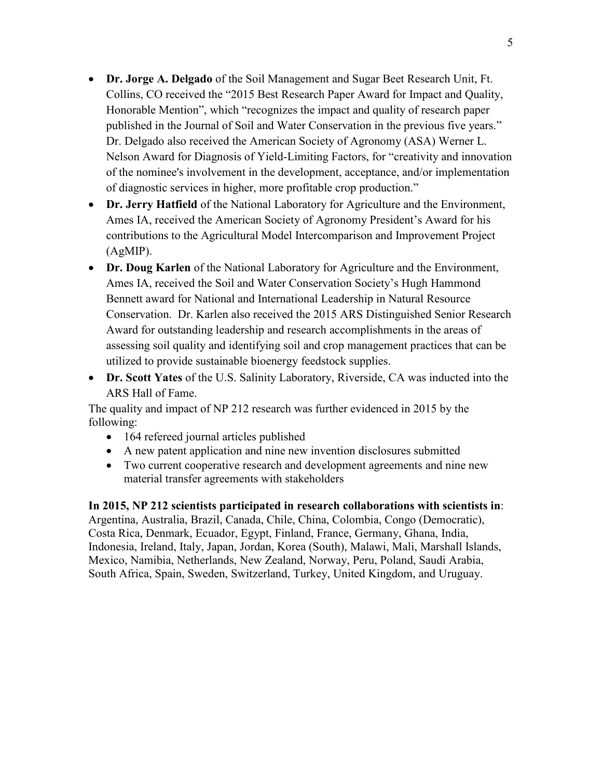- **Dr. Jorge A. Delgado** of the Soil Management and Sugar Beet Research Unit, Ft. Collins, CO received the "2015 Best Research Paper Award for Impact and Quality, Honorable Mention", which "recognizes the impact and quality of research paper published in the Journal of Soil and Water Conservation in the previous five years." Dr. Delgado also received the American Society of Agronomy (ASA) Werner L. Nelson Award for Diagnosis of Yield-Limiting Factors, for "creativity and innovation of the nominee's involvement in the development, acceptance, and/or implementation of diagnostic services in higher, more profitable crop production."
- **Dr. Jerry Hatfield** of the National Laboratory for Agriculture and the Environment, Ames IA, received the American Society of Agronomy President's Award for his contributions to the Agricultural Model Intercomparison and Improvement Project (AgMIP).
- **Dr. Doug Karlen** of the National Laboratory for Agriculture and the Environment, Ames IA, received the Soil and Water Conservation Society's Hugh Hammond Bennett award for National and International Leadership in Natural Resource Conservation. Dr. Karlen also received the 2015 ARS Distinguished Senior Research Award for outstanding leadership and research accomplishments in the areas of assessing soil quality and identifying soil and crop management practices that can be utilized to provide sustainable bioenergy feedstock supplies.
- **Dr. Scott Yates** of the U.S. Salinity Laboratory, Riverside, CA was inducted into the ARS Hall of Fame.

The quality and impact of NP 212 research was further evidenced in 2015 by the following:

- 164 refereed journal articles published
- A new patent application and nine new invention disclosures submitted
- Two current cooperative research and development agreements and nine new material transfer agreements with stakeholders

**In 2015, NP 212 scientists participated in research collaborations with scientists in**: Argentina, Australia, Brazil, Canada, Chile, China, Colombia, Congo (Democratic), Costa Rica, Denmark, Ecuador, Egypt, Finland, France, Germany, Ghana, India, Indonesia, Ireland, Italy, Japan, Jordan, Korea (South), Malawi, Mali, Marshall Islands, Mexico, Namibia, Netherlands, New Zealand, Norway, Peru, Poland, Saudi Arabia, South Africa, Spain, Sweden, Switzerland, Turkey, United Kingdom, and Uruguay.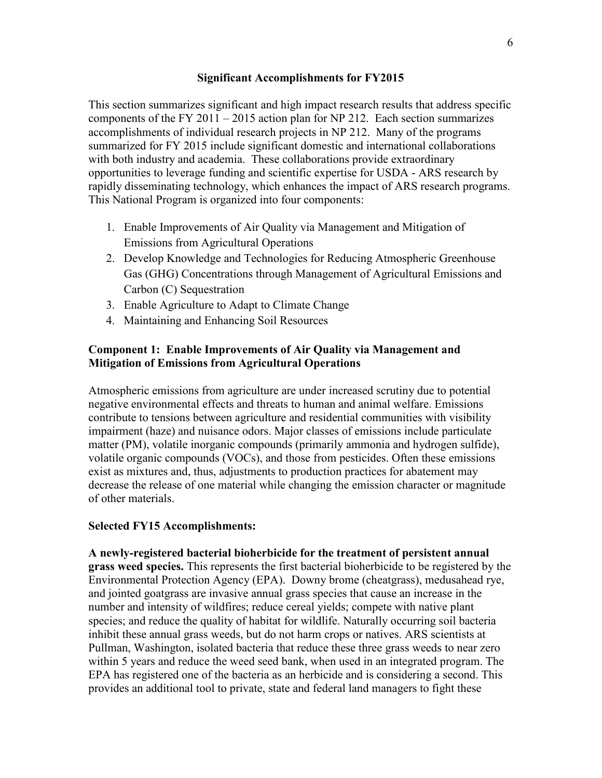## **Significant Accomplishments for FY2015**

This section summarizes significant and high impact research results that address specific components of the FY 2011 – 2015 action plan for NP 212. Each section summarizes accomplishments of individual research projects in NP 212. Many of the programs summarized for FY 2015 include significant domestic and international collaborations with both industry and academia. These collaborations provide extraordinary opportunities to leverage funding and scientific expertise for USDA - ARS research by rapidly disseminating technology, which enhances the impact of ARS research programs. This National Program is organized into four components:

- 1. Enable Improvements of Air Quality via Management and Mitigation of Emissions from Agricultural Operations
- 2. Develop Knowledge and Technologies for Reducing Atmospheric Greenhouse Gas (GHG) Concentrations through Management of Agricultural Emissions and Carbon (C) Sequestration
- 3. Enable Agriculture to Adapt to Climate Change
- 4. Maintaining and Enhancing Soil Resources

## **Component 1: Enable Improvements of Air Quality via Management and Mitigation of Emissions from Agricultural Operations**

Atmospheric emissions from agriculture are under increased scrutiny due to potential negative environmental effects and threats to human and animal welfare. Emissions contribute to tensions between agriculture and residential communities with visibility impairment (haze) and nuisance odors. Major classes of emissions include particulate matter (PM), volatile inorganic compounds (primarily ammonia and hydrogen sulfide), volatile organic compounds (VOCs), and those from pesticides. Often these emissions exist as mixtures and, thus, adjustments to production practices for abatement may decrease the release of one material while changing the emission character or magnitude of other materials.

#### **Selected FY15 Accomplishments:**

**A newly-registered bacterial bioherbicide for the treatment of persistent annual grass weed species.** This represents the first bacterial bioherbicide to be registered by the Environmental Protection Agency (EPA). Downy brome (cheatgrass), medusahead rye, and jointed goatgrass are invasive annual grass species that cause an increase in the number and intensity of wildfires; reduce cereal yields; compete with native plant species; and reduce the quality of habitat for wildlife. Naturally occurring soil bacteria inhibit these annual grass weeds, but do not harm crops or natives. ARS scientists at Pullman, Washington, isolated bacteria that reduce these three grass weeds to near zero within 5 years and reduce the weed seed bank, when used in an integrated program. The EPA has registered one of the bacteria as an herbicide and is considering a second. This provides an additional tool to private, state and federal land managers to fight these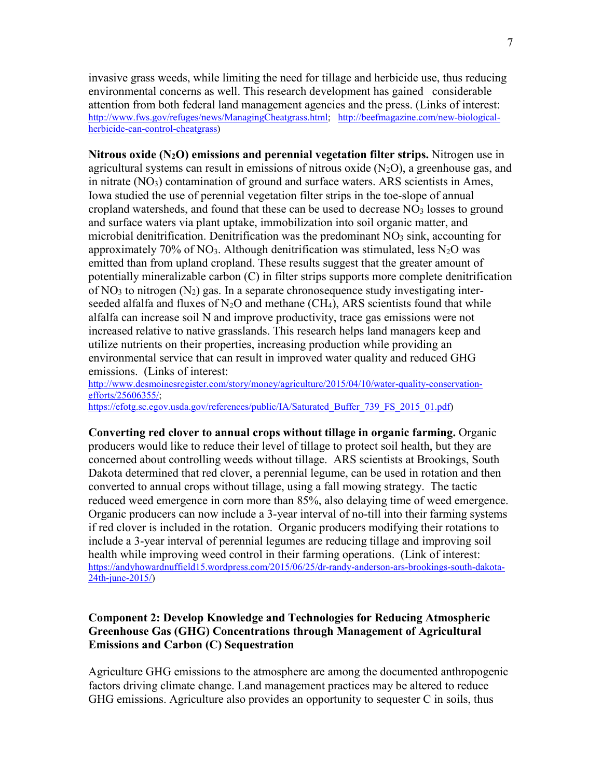invasive grass weeds, while limiting the need for tillage and herbicide use, thus reducing environmental concerns as well. This research development has gained considerable attention from both federal land management agencies and the press. (Links of interest: [http://www.fws.gov/refuges/news/ManagingCheatgrass.html;](http://www.fws.gov/refuges/news/ManagingCheatgrass.html) [http://beefmagazine.com/new-biological](http://beefmagazine.com/new-biological-herbicide-can-control-cheatgrass)[herbicide-can-control-cheatgrass\)](http://beefmagazine.com/new-biological-herbicide-can-control-cheatgrass)

**Nitrous oxide (N2O) emissions and perennial vegetation filter strips.** Nitrogen use in agricultural systems can result in emissions of nitrous oxide  $(N_2O)$ , a greenhouse gas, and in nitrate  $(NO<sub>3</sub>)$  contamination of ground and surface waters. ARS scientists in Ames, Iowa studied the use of perennial vegetation filter strips in the toe-slope of annual cropland watersheds, and found that these can be used to decrease  $NO<sub>3</sub>$  losses to ground and surface waters via plant uptake, immobilization into soil organic matter, and microbial denitrification. Denitrification was the predominant  $NO<sub>3</sub>$  sink, accounting for approximately 70% of NO<sub>3</sub>. Although denitrification was stimulated, less  $N_2O$  was emitted than from upland cropland. These results suggest that the greater amount of potentially mineralizable carbon (C) in filter strips supports more complete denitrification of NO<sub>3</sub> to nitrogen  $(N_2)$  gas. In a separate chronosequence study investigating interseeded alfalfa and fluxes of  $N_2O$  and methane (CH<sub>4</sub>), ARS scientists found that while alfalfa can increase soil N and improve productivity, trace gas emissions were not increased relative to native grasslands. This research helps land managers keep and utilize nutrients on their properties, increasing production while providing an environmental service that can result in improved water quality and reduced GHG emissions. (Links of interest:

[http://www.desmoinesregister.com/story/money/agriculture/2015/04/10/water-quality-conservation](http://www.desmoinesregister.com/story/money/agriculture/2015/04/10/water-quality-conservation-efforts/25606355/)[efforts/25606355/;](http://www.desmoinesregister.com/story/money/agriculture/2015/04/10/water-quality-conservation-efforts/25606355/) [https://efotg.sc.egov.usda.gov/references/public/IA/Saturated\\_Buffer\\_739\\_FS\\_2015\\_01.pdf\)](https://efotg.sc.egov.usda.gov/references/public/IA/Saturated_Buffer_739_FS_2015_01.pdf)

**Converting red clover to annual crops without tillage in organic farming.** Organic producers would like to reduce their level of tillage to protect soil health, but they are concerned about controlling weeds without tillage. ARS scientists at Brookings, South Dakota determined that red clover, a perennial legume, can be used in rotation and then converted to annual crops without tillage, using a fall mowing strategy. The tactic reduced weed emergence in corn more than 85%, also delaying time of weed emergence. Organic producers can now include a 3-year interval of no-till into their farming systems if red clover is included in the rotation. Organic producers modifying their rotations to include a 3-year interval of perennial legumes are reducing tillage and improving soil health while improving weed control in their farming operations. (Link of interest: [https://andyhowardnuffield15.wordpress.com/2015/06/25/dr-randy-anderson-ars-brookings-south-dakota-](https://andyhowardnuffield15.wordpress.com/2015/06/25/dr-randy-anderson-ars-brookings-south-dakota-24th-june-2015/)[24th-june-2015/\)](https://andyhowardnuffield15.wordpress.com/2015/06/25/dr-randy-anderson-ars-brookings-south-dakota-24th-june-2015/)

# **Component 2: Develop Knowledge and Technologies for Reducing Atmospheric Greenhouse Gas (GHG) Concentrations through Management of Agricultural Emissions and Carbon (C) Sequestration**

Agriculture GHG emissions to the atmosphere are among the documented anthropogenic factors driving climate change. Land management practices may be altered to reduce GHG emissions. Agriculture also provides an opportunity to sequester C in soils, thus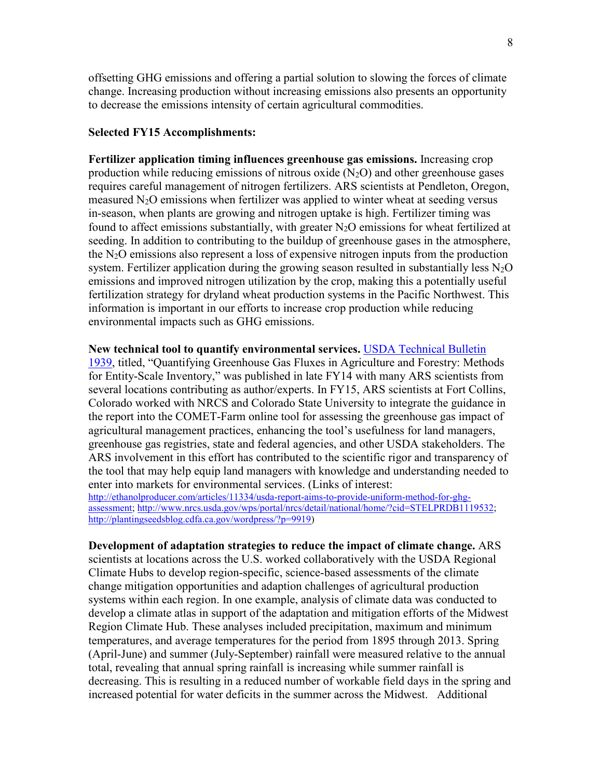offsetting GHG emissions and offering a partial solution to slowing the forces of climate change. Increasing production without increasing emissions also presents an opportunity to decrease the emissions intensity of certain agricultural commodities.

#### **Selected FY15 Accomplishments:**

**Fertilizer application timing influences greenhouse gas emissions.** Increasing crop production while reducing emissions of nitrous oxide  $(N_2O)$  and other greenhouse gases requires careful management of nitrogen fertilizers. ARS scientists at Pendleton, Oregon, measured  $N_2O$  emissions when fertilizer was applied to winter wheat at seeding versus in-season, when plants are growing and nitrogen uptake is high. Fertilizer timing was found to affect emissions substantially, with greater  $N_2O$  emissions for wheat fertilized at seeding. In addition to contributing to the buildup of greenhouse gases in the atmosphere, the  $N_2O$  emissions also represent a loss of expensive nitrogen inputs from the production system. Fertilizer application during the growing season resulted in substantially less  $N_2O$ emissions and improved nitrogen utilization by the crop, making this a potentially useful fertilization strategy for dryland wheat production systems in the Pacific Northwest. This information is important in our efforts to increase crop production while reducing environmental impacts such as GHG emissions.

### **New technical tool to quantify environmental services.** [USDA Technical Bulletin](http://www.usda.gov/oce/climate_change/Quantifying_GHG/USDATB1939_07072014.pdf)

[1939,](http://www.usda.gov/oce/climate_change/Quantifying_GHG/USDATB1939_07072014.pdf) titled, "Quantifying Greenhouse Gas Fluxes in Agriculture and Forestry: Methods for Entity-Scale Inventory," was published in late FY14 with many ARS scientists from several locations contributing as author/experts. In FY15, ARS scientists at Fort Collins, Colorado worked with NRCS and Colorado State University to integrate the guidance in the report into the COMET-Farm online tool for assessing the greenhouse gas impact of agricultural management practices, enhancing the tool's usefulness for land managers, greenhouse gas registries, state and federal agencies, and other USDA stakeholders. The ARS involvement in this effort has contributed to the scientific rigor and transparency of the tool that may help equip land managers with knowledge and understanding needed to enter into markets for environmental services. (Links of interest:

[http://ethanolproducer.com/articles/11334/usda-report-aims-to-provide-uniform-method-for-ghg](http://ethanolproducer.com/articles/11334/usda-report-aims-to-provide-uniform-method-for-ghg-assessment)[assessment;](http://ethanolproducer.com/articles/11334/usda-report-aims-to-provide-uniform-method-for-ghg-assessment) [http://www.nrcs.usda.gov/wps/portal/nrcs/detail/national/home/?cid=STELPRDB1119532;](http://www.nrcs.usda.gov/wps/portal/nrcs/detail/national/home/?cid=STELPRDB1119532) [http://plantingseedsblog.cdfa.ca.gov/wordpress/?p=9919\)](http://plantingseedsblog.cdfa.ca.gov/wordpress/?p=9919)

## **Development of adaptation strategies to reduce the impact of climate change.** ARS

scientists at locations across the U.S. worked collaboratively with the USDA Regional Climate Hubs to develop region-specific, science-based assessments of the climate change mitigation opportunities and adaption challenges of agricultural production systems within each region. In one example, analysis of climate data was conducted to develop a climate atlas in support of the adaptation and mitigation efforts of the Midwest Region Climate Hub. These analyses included precipitation, maximum and minimum temperatures, and average temperatures for the period from 1895 through 2013. Spring (April-June) and summer (July-September) rainfall were measured relative to the annual total, revealing that annual spring rainfall is increasing while summer rainfall is decreasing. This is resulting in a reduced number of workable field days in the spring and increased potential for water deficits in the summer across the Midwest. Additional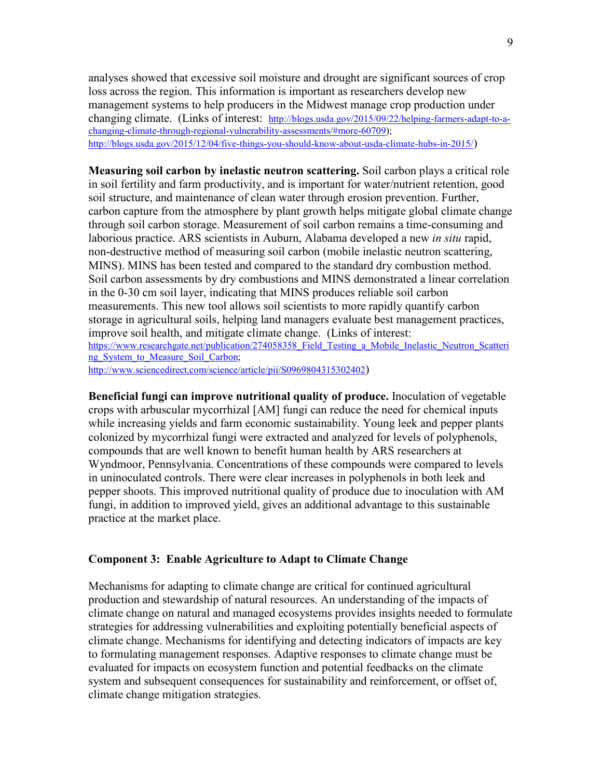analyses showed that excessive soil moisture and drought are significant sources of crop loss across the region. This information is important as researchers develop new management systems to help producers in the Midwest manage crop production under changing climate. (Links of interest: [http://blogs.usda.gov/2015/09/22/helping-farmers-adapt-to-a](http://blogs.usda.gov/2015/09/22/helping-farmers-adapt-to-a-changing-climate-through-regional-vulnerability-assessments/#more-60709)[changing-climate-through-regional-vulnerability-assessments/#more-60709\)](http://blogs.usda.gov/2015/09/22/helping-farmers-adapt-to-a-changing-climate-through-regional-vulnerability-assessments/#more-60709); [http://blogs.usda.gov/2015/12/04/five-things-you-should-know-about-usda-climate-hubs-in-2015/\)](http://blogs.usda.gov/2015/12/04/five-things-you-should-know-about-usda-climate-hubs-in-2015/)

**Measuring soil carbon by inelastic neutron scattering.** Soil carbon plays a critical role in soil fertility and farm productivity, and is important for water/nutrient retention, good soil structure, and maintenance of clean water through erosion prevention. Further, carbon capture from the atmosphere by plant growth helps mitigate global climate change through soil carbon storage. Measurement of soil carbon remains a time-consuming and laborious practice. ARS scientists in Auburn, Alabama developed a new *in situ* rapid, non-destructive method of measuring soil carbon (mobile inelastic neutron scattering, MINS). MINS has been tested and compared to the standard dry combustion method. Soil carbon assessments by dry combustions and MINS demonstrated a linear correlation in the 0-30 cm soil layer, indicating that MINS produces reliable soil carbon measurements. This new tool allows soil scientists to more rapidly quantify carbon storage in agricultural soils, helping land managers evaluate best management practices, improve soil health, and mitigate climate change. (Links of interest: https://www.researchgate.net/publication/274058358 Field Testing a Mobile Inelastic Neutron Scatteri ng System to Measure Soil Carbon; [http://www.sciencedirect.com/science/article/pii/S0969804315302402\)](http://www.sciencedirect.com/science/article/pii/S0969804315302402)

**Beneficial fungi can improve nutritional quality of produce.** Inoculation of vegetable crops with arbuscular mycorrhizal [AM] fungi can reduce the need for chemical inputs while increasing yields and farm economic sustainability. Young leek and pepper plants colonized by mycorrhizal fungi were extracted and analyzed for levels of polyphenols, compounds that are well known to benefit human health by ARS researchers at Wyndmoor, Pennsylvania. Concentrations of these compounds were compared to levels in uninoculated controls. There were clear increases in polyphenols in both leek and pepper shoots. This improved nutritional quality of produce due to inoculation with AM fungi, in addition to improved yield, gives an additional advantage to this sustainable practice at the market place.

## **Component 3: Enable Agriculture to Adapt to Climate Change**

Mechanisms for adapting to climate change are critical for continued agricultural production and stewardship of natural resources. An understanding of the impacts of climate change on natural and managed ecosystems provides insights needed to formulate strategies for addressing vulnerabilities and exploiting potentially beneficial aspects of climate change. Mechanisms for identifying and detecting indicators of impacts are key to formulating management responses. Adaptive responses to climate change must be evaluated for impacts on ecosystem function and potential feedbacks on the climate system and subsequent consequences for sustainability and reinforcement, or offset of, climate change mitigation strategies.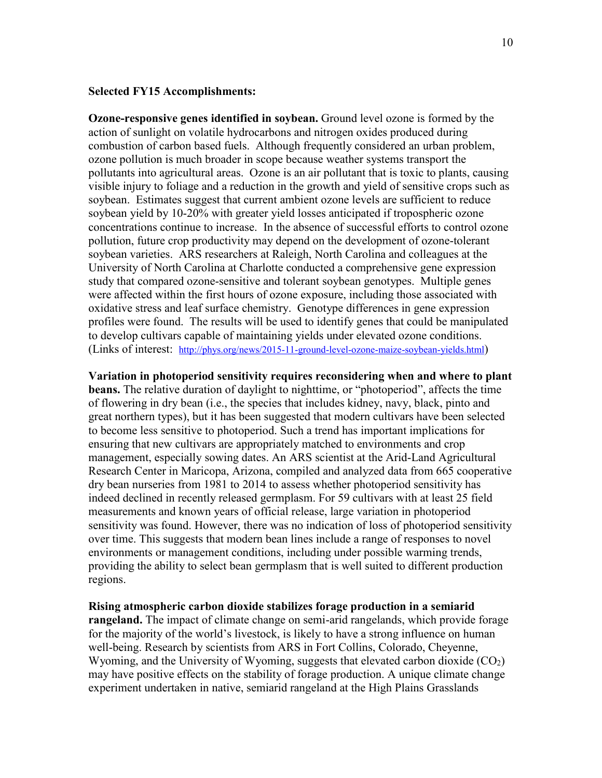## **Selected FY15 Accomplishments:**

**Ozone-responsive genes identified in soybean.** Ground level ozone is formed by the action of sunlight on volatile hydrocarbons and nitrogen oxides produced during combustion of carbon based fuels. Although frequently considered an urban problem, ozone pollution is much broader in scope because weather systems transport the pollutants into agricultural areas. Ozone is an air pollutant that is toxic to plants, causing visible injury to foliage and a reduction in the growth and yield of sensitive crops such as soybean. Estimates suggest that current ambient ozone levels are sufficient to reduce soybean yield by 10-20% with greater yield losses anticipated if tropospheric ozone concentrations continue to increase. In the absence of successful efforts to control ozone pollution, future crop productivity may depend on the development of ozone-tolerant soybean varieties. ARS researchers at Raleigh, North Carolina and colleagues at the University of North Carolina at Charlotte conducted a comprehensive gene expression study that compared ozone-sensitive and tolerant soybean genotypes. Multiple genes were affected within the first hours of ozone exposure, including those associated with oxidative stress and leaf surface chemistry. Genotype differences in gene expression profiles were found. The results will be used to identify genes that could be manipulated to develop cultivars capable of maintaining yields under elevated ozone conditions. (Links of interest: [http://phys.org/news/2015-11-ground-level-ozone-maize-soybean-yields.html\)](http://phys.org/news/2015-11-ground-level-ozone-maize-soybean-yields.html)

### **Variation in photoperiod sensitivity requires reconsidering when and where to plant**

**beans.** The relative duration of daylight to nighttime, or "photoperiod", affects the time of flowering in dry bean (i.e., the species that includes kidney, navy, black, pinto and great northern types), but it has been suggested that modern cultivars have been selected to become less sensitive to photoperiod. Such a trend has important implications for ensuring that new cultivars are appropriately matched to environments and crop management, especially sowing dates. An ARS scientist at the Arid-Land Agricultural Research Center in Maricopa, Arizona, compiled and analyzed data from 665 cooperative dry bean nurseries from 1981 to 2014 to assess whether photoperiod sensitivity has indeed declined in recently released germplasm. For 59 cultivars with at least 25 field measurements and known years of official release, large variation in photoperiod sensitivity was found. However, there was no indication of loss of photoperiod sensitivity over time. This suggests that modern bean lines include a range of responses to novel environments or management conditions, including under possible warming trends, providing the ability to select bean germplasm that is well suited to different production regions.

**Rising atmospheric carbon dioxide stabilizes forage production in a semiarid rangeland.** The impact of climate change on semi-arid rangelands, which provide forage for the majority of the world's livestock, is likely to have a strong influence on human well-being. Research by scientists from ARS in Fort Collins, Colorado, Cheyenne, Wyoming, and the University of Wyoming, suggests that elevated carbon dioxide  $(CO<sub>2</sub>)$ may have positive effects on the stability of forage production. A unique climate change experiment undertaken in native, semiarid rangeland at the High Plains Grasslands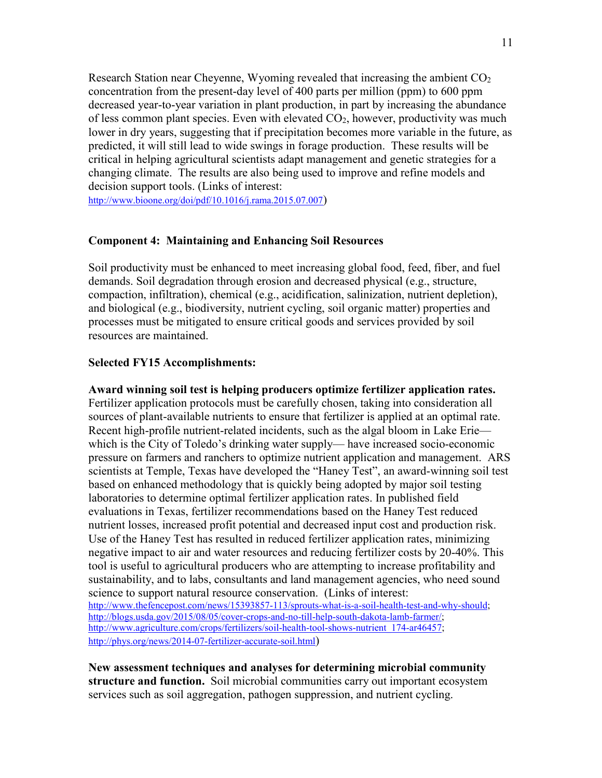Research Station near Cheyenne, Wyoming revealed that increasing the ambient  $CO<sub>2</sub>$ concentration from the present-day level of 400 parts per million (ppm) to 600 ppm decreased year-to-year variation in plant production, in part by increasing the abundance of less common plant species. Even with elevated  $CO<sub>2</sub>$ , however, productivity was much lower in dry years, suggesting that if precipitation becomes more variable in the future, as predicted, it will still lead to wide swings in forage production. These results will be critical in helping agricultural scientists adapt management and genetic strategies for a changing climate. The results are also being used to improve and refine models and decision support tools. (Links of interest:

[http://www.bioone.org/doi/pdf/10.1016/j.rama.2015.07.007\)](http://www.bioone.org/doi/pdf/10.1016/j.rama.2015.07.007)

#### **Component 4: Maintaining and Enhancing Soil Resources**

Soil productivity must be enhanced to meet increasing global food, feed, fiber, and fuel demands. Soil degradation through erosion and decreased physical (e.g., structure, compaction, infiltration), chemical (e.g., acidification, salinization, nutrient depletion), and biological (e.g., biodiversity, nutrient cycling, soil organic matter) properties and processes must be mitigated to ensure critical goods and services provided by soil resources are maintained.

### **Selected FY15 Accomplishments:**

**Award winning soil test is helping producers optimize fertilizer application rates.** Fertilizer application protocols must be carefully chosen, taking into consideration all sources of plant-available nutrients to ensure that fertilizer is applied at an optimal rate. Recent high-profile nutrient-related incidents, such as the algal bloom in Lake Erie which is the City of Toledo's drinking water supply— have increased socio-economic pressure on farmers and ranchers to optimize nutrient application and management. ARS scientists at Temple, Texas have developed the "Haney Test", an award-winning soil test based on enhanced methodology that is quickly being adopted by major soil testing laboratories to determine optimal fertilizer application rates. In published field evaluations in Texas, fertilizer recommendations based on the Haney Test reduced nutrient losses, increased profit potential and decreased input cost and production risk. Use of the Haney Test has resulted in reduced fertilizer application rates, minimizing negative impact to air and water resources and reducing fertilizer costs by 20-40%. This tool is useful to agricultural producers who are attempting to increase profitability and sustainability, and to labs, consultants and land management agencies, who need sound science to support natural resource conservation. (Links of interest: [http://www.thefencepost.com/news/15393857-113/sprouts-what-is-a-soil-health-test-and-why-should;](http://www.thefencepost.com/news/15393857-113/sprouts-what-is-a-soil-health-test-and-why-should) [http://blogs.usda.gov/2015/08/05/cover-crops-and-no-till-help-south-dakota-lamb-farmer/;](http://blogs.usda.gov/2015/08/05/cover-crops-and-no-till-help-south-dakota-lamb-farmer/) [http://www.agriculture.com/crops/fertilizers/soil-health-tool-shows-nutrient\\_174-ar46457;](http://www.agriculture.com/crops/fertilizers/soil-health-tool-shows-nutrient_174-ar46457) [http://phys.org/news/2014-07-fertilizer-accurate-soil.html\)](http://phys.org/news/2014-07-fertilizer-accurate-soil.html)

**New assessment techniques and analyses for determining microbial community structure and function.** Soil microbial communities carry out important ecosystem services such as soil aggregation, pathogen suppression, and nutrient cycling.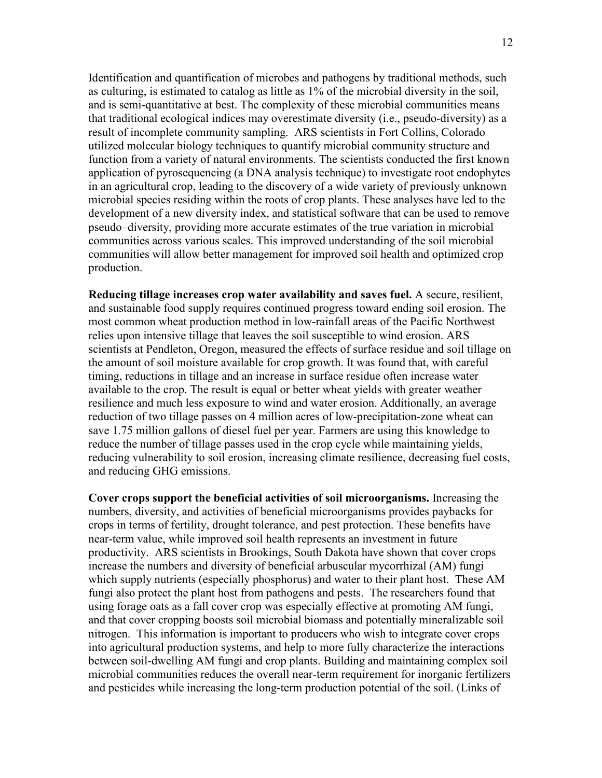Identification and quantification of microbes and pathogens by traditional methods, such as culturing, is estimated to catalog as little as 1% of the microbial diversity in the soil, and is semi-quantitative at best. The complexity of these microbial communities means that traditional ecological indices may overestimate diversity (i.e., pseudo-diversity) as a result of incomplete community sampling. ARS scientists in Fort Collins, Colorado utilized molecular biology techniques to quantify microbial community structure and function from a variety of natural environments. The scientists conducted the first known application of pyrosequencing (a DNA analysis technique) to investigate root endophytes in an agricultural crop, leading to the discovery of a wide variety of previously unknown microbial species residing within the roots of crop plants. These analyses have led to the development of a new diversity index, and statistical software that can be used to remove pseudo–diversity, providing more accurate estimates of the true variation in microbial communities across various scales. This improved understanding of the soil microbial communities will allow better management for improved soil health and optimized crop production.

**Reducing tillage increases crop water availability and saves fuel.** A secure, resilient, and sustainable food supply requires continued progress toward ending soil erosion. The most common wheat production method in low-rainfall areas of the Pacific Northwest relies upon intensive tillage that leaves the soil susceptible to wind erosion. ARS scientists at Pendleton, Oregon, measured the effects of surface residue and soil tillage on the amount of soil moisture available for crop growth. It was found that, with careful timing, reductions in tillage and an increase in surface residue often increase water available to the crop. The result is equal or better wheat yields with greater weather resilience and much less exposure to wind and water erosion. Additionally, an average reduction of two tillage passes on 4 million acres of low-precipitation-zone wheat can save 1.75 million gallons of diesel fuel per year. Farmers are using this knowledge to reduce the number of tillage passes used in the crop cycle while maintaining yields, reducing vulnerability to soil erosion, increasing climate resilience, decreasing fuel costs, and reducing GHG emissions.

**Cover crops support the beneficial activities of soil microorganisms.** Increasing the numbers, diversity, and activities of beneficial microorganisms provides paybacks for crops in terms of fertility, drought tolerance, and pest protection. These benefits have near-term value, while improved soil health represents an investment in future productivity. ARS scientists in Brookings, South Dakota have shown that cover crops increase the numbers and diversity of beneficial arbuscular mycorrhizal (AM) fungi which supply nutrients (especially phosphorus) and water to their plant host. These AM fungi also protect the plant host from pathogens and pests. The researchers found that using forage oats as a fall cover crop was especially effective at promoting AM fungi, and that cover cropping boosts soil microbial biomass and potentially mineralizable soil nitrogen. This information is important to producers who wish to integrate cover crops into agricultural production systems, and help to more fully characterize the interactions between soil-dwelling AM fungi and crop plants. Building and maintaining complex soil microbial communities reduces the overall near-term requirement for inorganic fertilizers and pesticides while increasing the long-term production potential of the soil. (Links of